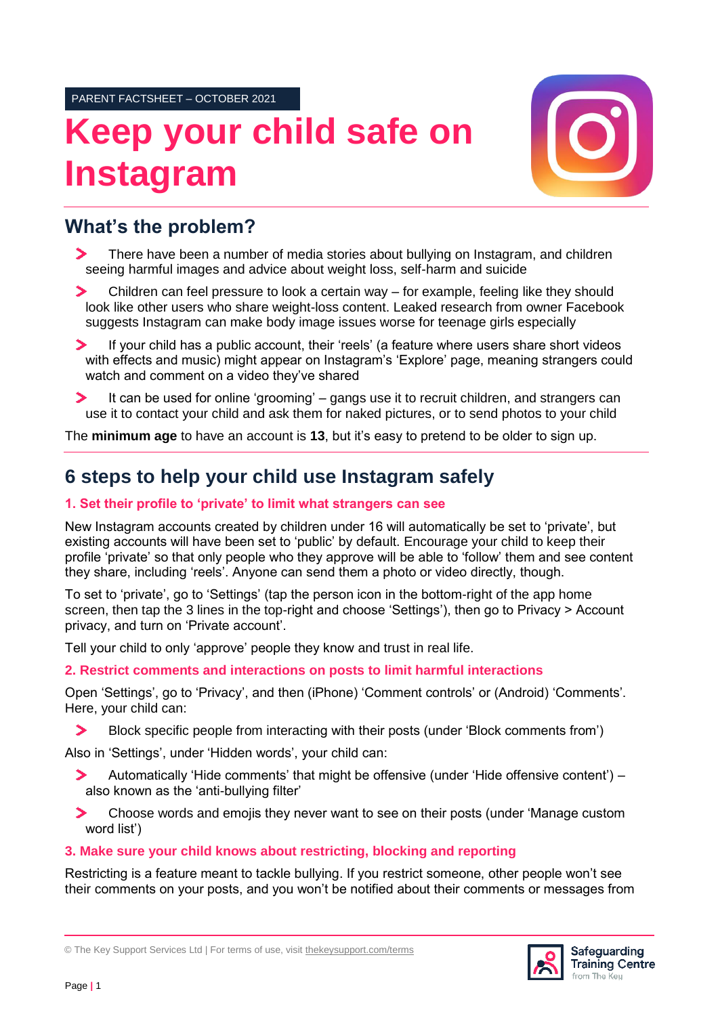PARENT FACTSHEET – OCTOBER 2021

# **Keep your child safe on Instagram**



## **What's the problem?**

- $\blacktriangleright$ There have been a number of media stories about bullying on Instagram, and children seeing harmful images and advice about weight loss, self-harm and suicide
- Children can feel pressure to look a certain way for example, feeling like they should  $\blacktriangleright$ look like other users who share weight-loss content. Leaked research from owner Facebook suggests Instagram can make body image issues worse for teenage girls especially
- If your child has a public account, their 'reels' (a feature where users share short videos with effects and music) might appear on Instagram's 'Explore' page, meaning strangers could watch and comment on a video they've shared
- ⋗ It can be used for online 'grooming' – gangs use it to recruit children, and strangers can use it to contact your child and ask them for naked pictures, or to send photos to your child

The **minimum age** to have an account is **13**, but it's easy to pretend to be older to sign up.

## **6 steps to help your child use Instagram safely**

### **1. Set their profile to 'private' to limit what strangers can see**

New Instagram accounts created by children under 16 will automatically be set to 'private', but existing accounts will have been set to 'public' by default. Encourage your child to keep their profile 'private' so that only people who they approve will be able to 'follow' them and see content they share, including 'reels'. Anyone can send them a photo or video directly, though.

To set to 'private', go to 'Settings' (tap the person icon in the bottom-right of the app home screen, then tap the 3 lines in the top-right and choose 'Settings'), then go to Privacy > Account privacy, and turn on 'Private account'.

Tell your child to only 'approve' people they know and trust in real life.

#### **2. Restrict comments and interactions on posts to limit harmful interactions**

Open 'Settings', go to 'Privacy', and then (iPhone) 'Comment controls' or (Android) 'Comments'. Here, your child can:

 $\blacktriangleright$ Block specific people from interacting with their posts (under 'Block comments from')

Also in 'Settings', under 'Hidden words', your child can:

- $\blacktriangleright$ Automatically 'Hide comments' that might be offensive (under 'Hide offensive content') – also known as the 'anti-bullying filter'
- Choose words and emojis they never want to see on their posts (under 'Manage custom ⋗ word list')

#### **3. Make sure your child knows about restricting, blocking and reporting**

Restricting is a feature meant to tackle bullying. If you restrict someone, other people won't see their comments on your posts, and you won't be notified about their comments or messages from